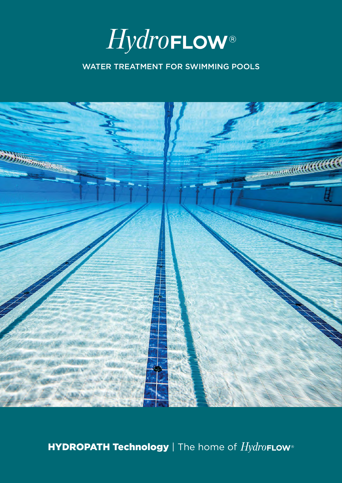

### WATER TREATMENT FOR SWIMMING POOLS



HYDROPATH Technology | The home of HydroFLow<sup>®</sup>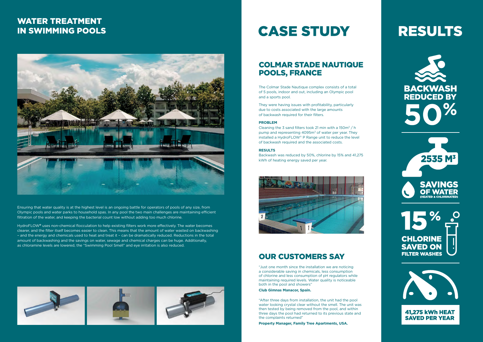Ensuring that water quality is at the highest level is an ongoing battle for operators of pools of any size, from Olympic pools and water parks to household spas. In any pool the two main challenges are maintaining efficient filtration of the water, and keeping the bacterial count low without adding too much chlorine.

HydroFLOW**®** uses non-chemical flocculation to help existing filters work more effectively. The water becomes clearer, and the filter itself becomes easier to clean. This means that the amount of water wasted on backwashing – and the energy and chemicals used to heat and treat it – can be dramatically reduced. Reductions in the total amount of backwashing and the savings on water, sewage and chemical charges can be huge. Additionally, as chloramine levels are lowered, the "Swimming Pool Smell" and eye irritation is also reduced.



# **CASE STUDY**

Cleaning the 3 sand filters took 21 min with a  $150m^3 / h$ pump and representing 4095m<sup>3</sup> of water per year. They installed a HydroFLOW® P Range unit to reduce the level of backwash required and the associated costs.

## WATER TREATMENT IN SWIMMING POOLS



## COLMAR STADE NAUTIQUE POOLS, FRANCE

The Colmar Stade Nautique complex consists of a total of 5 pools, indoor and out, including an Olympic pool and a sports pool.

They were having issues with profitability, particularly due to costs associated with the large amounts of backwash required for their filters.

### **PROBLEM**

#### **RESULTS**

Backwash was reduced by 50%, chlorine by 15% and 41,275 kWh of heating energy saved per year.



## OUR CUSTOMERS SAY

"Just one month since the installation we are noticing a considerable saving in chemicals, less consumption of chlorine and less consumption of pH regulators while maintaining required levels. Water quality is noticeable both in the pool and showers"

#### **Club Gimnas Manacor, Spain.**

"After three days from installation, the unit had the pool water looking crystal clear without the smell. The unit was then tested by being removed from the pool, and within three days the pool had returned to its previous state and the complaints returned"

**Property Manager, Family Tree Apartments, USA.**

# **RESULTS**









**SAVED PER YEAR**